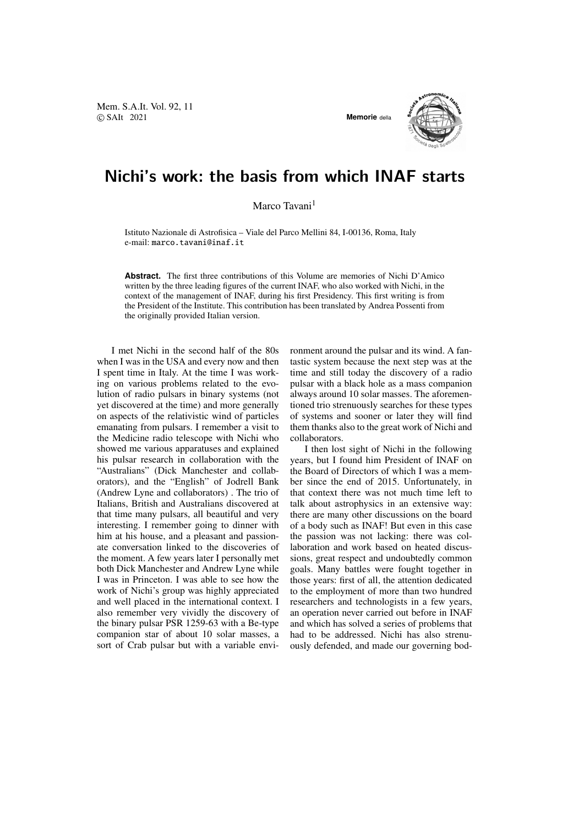Mem. S.A.It. Vol. 92, 11 © SAIt 2021 **Memorie** della



## Nichi's work: the basis from which INAF starts

Marco Tavani<sup>1</sup>

Istituto Nazionale di Astrofisica – Viale del Parco Mellini 84, I-00136, Roma, Italy e-mail: marco.tavani@inaf.it

**Abstract.** The first three contributions of this Volume are memories of Nichi D'Amico written by the three leading figures of the current INAF, who also worked with Nichi, in the context of the management of INAF, during his first Presidency. This first writing is from the President of the Institute. This contribution has been translated by Andrea Possenti from the originally provided Italian version.

I met Nichi in the second half of the 80s when I was in the USA and every now and then I spent time in Italy. At the time I was working on various problems related to the evolution of radio pulsars in binary systems (not yet discovered at the time) and more generally on aspects of the relativistic wind of particles emanating from pulsars. I remember a visit to the Medicine radio telescope with Nichi who showed me various apparatuses and explained his pulsar research in collaboration with the "Australians" (Dick Manchester and collaborators), and the "English" of Jodrell Bank (Andrew Lyne and collaborators) . The trio of Italians, British and Australians discovered at that time many pulsars, all beautiful and very interesting. I remember going to dinner with him at his house, and a pleasant and passionate conversation linked to the discoveries of the moment. A few years later I personally met both Dick Manchester and Andrew Lyne while I was in Princeton. I was able to see how the work of Nichi's group was highly appreciated and well placed in the international context. I also remember very vividly the discovery of the binary pulsar PSR 1259-63 with a Be-type companion star of about 10 solar masses, a sort of Crab pulsar but with a variable environment around the pulsar and its wind. A fantastic system because the next step was at the time and still today the discovery of a radio pulsar with a black hole as a mass companion always around 10 solar masses. The aforementioned trio strenuously searches for these types of systems and sooner or later they will find them thanks also to the great work of Nichi and collaborators.

I then lost sight of Nichi in the following years, but I found him President of INAF on the Board of Directors of which I was a member since the end of 2015. Unfortunately, in that context there was not much time left to talk about astrophysics in an extensive way: there are many other discussions on the board of a body such as INAF! But even in this case the passion was not lacking: there was collaboration and work based on heated discussions, great respect and undoubtedly common goals. Many battles were fought together in those years: first of all, the attention dedicated to the employment of more than two hundred researchers and technologists in a few years, an operation never carried out before in INAF and which has solved a series of problems that had to be addressed. Nichi has also strenuously defended, and made our governing bod